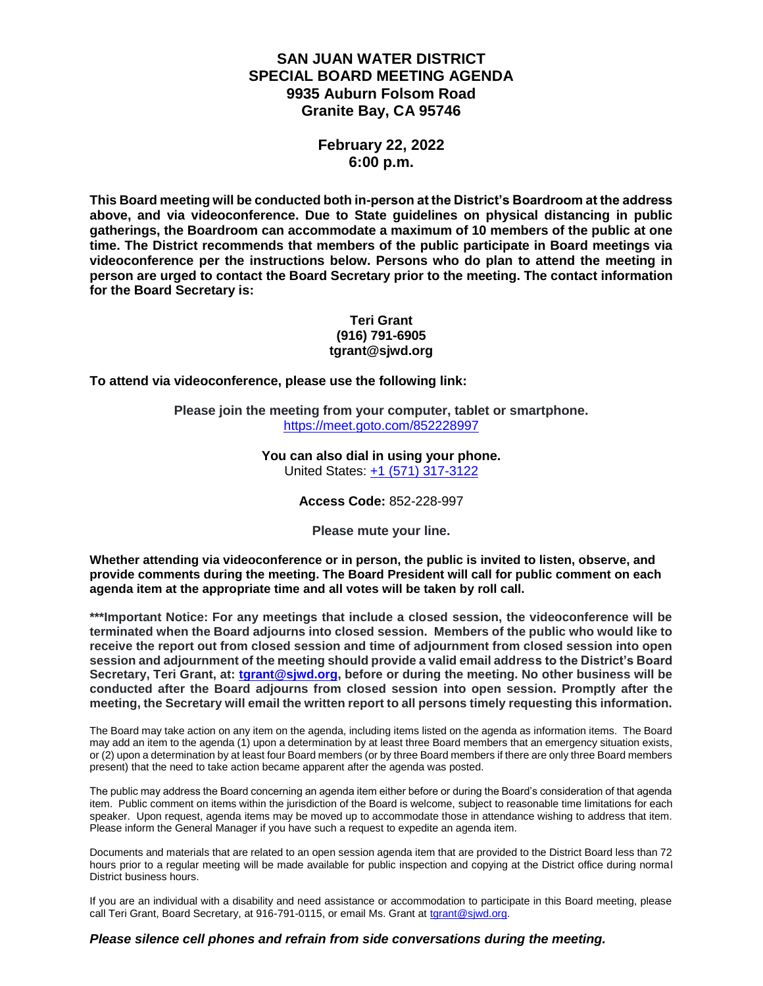# **SAN JUAN WATER DISTRICT SPECIAL BOARD MEETING AGENDA 9935 Auburn Folsom Road Granite Bay, CA 95746**

### **February 22, 2022 6:00 p.m.**

**This Board meeting will be conducted both in-person at the District's Boardroom at the address above, and via videoconference. Due to State guidelines on physical distancing in public gatherings, the Boardroom can accommodate a maximum of 10 members of the public at one time. The District recommends that members of the public participate in Board meetings via videoconference per the instructions below. Persons who do plan to attend the meeting in person are urged to contact the Board Secretary prior to the meeting. The contact information for the Board Secretary is:**

#### **Teri Grant (916) 791-6905 tgrant@sjwd.org**

**To attend via videoconference, please use the following link:**

**Please join the meeting from your computer, tablet or smartphone.** <https://meet.goto.com/852228997>

#### **You can also dial in using your phone.** United States: [+1 \(571\) 317-3122](tel:+15713173122,,852228997)

**Access Code:** 852-228-997

**Please mute your line.**

**Whether attending via videoconference or in person, the public is invited to listen, observe, and provide comments during the meeting. The Board President will call for public comment on each agenda item at the appropriate time and all votes will be taken by roll call.** 

**\*\*\*Important Notice: For any meetings that include a closed session, the videoconference will be terminated when the Board adjourns into closed session. Members of the public who would like to receive the report out from closed session and time of adjournment from closed session into open session and adjournment of the meeting should provide a valid email address to the District's Board Secretary, Teri Grant, at: [tgrant@sjwd.org,](mailto:tgrant@sjwd.org) before or during the meeting. No other business will be conducted after the Board adjourns from closed session into open session. Promptly after the meeting, the Secretary will email the written report to all persons timely requesting this information.**

The Board may take action on any item on the agenda, including items listed on the agenda as information items. The Board may add an item to the agenda (1) upon a determination by at least three Board members that an emergency situation exists, or (2) upon a determination by at least four Board members (or by three Board members if there are only three Board members present) that the need to take action became apparent after the agenda was posted.

The public may address the Board concerning an agenda item either before or during the Board's consideration of that agenda item. Public comment on items within the jurisdiction of the Board is welcome, subject to reasonable time limitations for each speaker. Upon request, agenda items may be moved up to accommodate those in attendance wishing to address that item. Please inform the General Manager if you have such a request to expedite an agenda item.

Documents and materials that are related to an open session agenda item that are provided to the District Board less than 72 hours prior to a regular meeting will be made available for public inspection and copying at the District office during normal District business hours.

If you are an individual with a disability and need assistance or accommodation to participate in this Board meeting, please call Teri Grant, Board Secretary, at 916-791-0115, or email Ms. Grant at [tgrant@sjwd.org.](mailto:tgrant@sjwd.org)

#### *Please silence cell phones and refrain from side conversations during the meeting.*